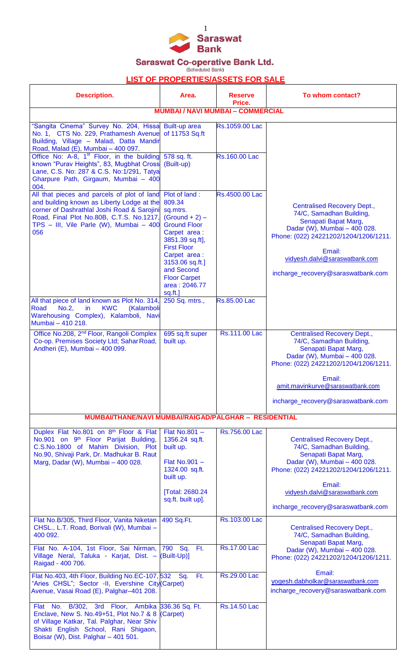

Saraswat Co-operative Bank Ltd.<br>
Scheduled Bank)

## **LIST OF PROPERTIES/ASSETS FOR SALE**

| <b>Description.</b>                                                                                                                                                                                                                      | Area.                                                                                                                                                                                                                                       | <b>Reserve</b><br>Price.               | To whom contact?                                                                                                                                                                                                                                    |
|------------------------------------------------------------------------------------------------------------------------------------------------------------------------------------------------------------------------------------------|---------------------------------------------------------------------------------------------------------------------------------------------------------------------------------------------------------------------------------------------|----------------------------------------|-----------------------------------------------------------------------------------------------------------------------------------------------------------------------------------------------------------------------------------------------------|
|                                                                                                                                                                                                                                          | <b>MUMBAI / NAVI MUMBAI - COMMERCIAL</b>                                                                                                                                                                                                    |                                        |                                                                                                                                                                                                                                                     |
| "Sangita Cinema" Survey No. 204, Hissa Built-up area<br>No. 1, CTS No. 229, Prathamesh Avenue<br>Building, Village - Malad, Datta Mandir<br>Road, Malad (E), Mumbai - 400 097.<br>Office No: A-8, 1 <sup>st</sup> Floor, in the building | of 11753 Sq.ft<br>578 sq. ft.                                                                                                                                                                                                               | Rs.1059.00 Lac<br><b>Rs.160.00 Lac</b> |                                                                                                                                                                                                                                                     |
| known "Purav Heights", 83, Mugbhat Cross<br>Lane, C.S. No: 287 & C.S. No:1/291, Tatya<br>Gharpure Path, Girgaum, Mumbai - 400<br>004.                                                                                                    | (Built-up)                                                                                                                                                                                                                                  |                                        |                                                                                                                                                                                                                                                     |
| All that pieces and parcels of plot of land<br>and building known as Liberty Lodge at the<br>corner of Dashrathlal Joshi Road & Sarojini<br>Road, Final Plot No.80B, C.T.S. No.1217,<br>TPS - III, Vile Parle (W), Mumbai - 400<br>056   | Plot of land:<br>809.34<br>sq.mtrs.<br>$(Ground + 2)$ –<br><b>Ground Floor</b><br>Carpet area:<br>3851.39 sq.ft],<br><b>First Floor</b><br>Carpet area:<br>3153.06 sq.ft.]<br>and Second<br><b>Floor Carpet</b><br>area: 2046.77<br>sq.ft.] | Rs.4500.00 Lac                         | <b>Centralised Recovery Dept.,</b><br>74/C, Samadhan Building,<br>Senapati Bapat Marg,<br>Dadar (W), Mumbai - 400 028.<br>Phone: (022) 24221202/1204/1206/1211.<br>Email:<br>vidyesh.dalvi@saraswatbank.com<br>incharge_recovery@saraswatbank.com   |
| All that piece of land known as Plot No. 314,<br>No.2,<br>in.<br><b>KWC</b><br>(Kalamboli<br>Road<br>Warehousing Complex), Kalamboli, Navi<br>Mumbai - 410 218.                                                                          | 250 Sq. mtrs.,                                                                                                                                                                                                                              | <b>Rs.85.00 Lac</b>                    |                                                                                                                                                                                                                                                     |
| Office No.208, 2 <sup>nd</sup> Floor, Rangoli Complex<br>Co-op. Premises Society Ltd; Sahar Road,<br>Andheri (E), Mumbai - 400 099.                                                                                                      | 695 sq.ft super<br>built up.                                                                                                                                                                                                                | Rs.111.00 Lac                          | <b>Centralised Recovery Dept.,</b><br>74/C, Samadhan Building,<br>Senapati Bapat Marg,<br>Dadar (W), Mumbai - 400 028.<br>Phone: (022) 24221202/1204/1206/1211.<br>Email:<br>amit.mavinkurve@saraswatbank.com<br>incharge_recovery@saraswatbank.com |
| MUMBAI/THANE/NAVI MUMBAI/RAIGAD/PALGHAR - RESIDENTIAL                                                                                                                                                                                    |                                                                                                                                                                                                                                             |                                        |                                                                                                                                                                                                                                                     |
| Duplex Flat No.801 on 8th Floor & Flat<br>No.901 on 9 <sup>th</sup> Floor Parijat Building,<br>C.S.No.1800 of Mahim Division, Plot<br>No.90, Shivaji Park, Dr. Madhukar B. Raut<br>Marg, Dadar (W), Mumbai - 400 028.                    | Flat No.801 $-$<br>1356.24 sq.ft.<br>built up.<br>Flat $No.901 -$<br>1324.00 sq.ft.<br>built up.<br>[Total: 2680.24<br>sq.ft. built up].                                                                                                    | Rs.756.00 Lac                          | <b>Centralised Recovery Dept.,</b><br>74/C, Samadhan Building,<br>Senapati Bapat Marg,<br>Dadar (W), Mumbai - 400 028.<br>Phone: (022) 24221202/1204/1206/1211.<br>Email:<br>vidyesh.dalvi@saraswatbank.com<br>incharge_recovery@saraswatbank.com   |
| Flat No.B/305, Third Floor, Vanita Niketan<br>CHSL., L.T. Road, Borivali (W), Mumbai -<br>400 092.                                                                                                                                       | 490 Sq.Ft.                                                                                                                                                                                                                                  | Rs.103.00 Lac                          | <b>Centralised Recovery Dept.,</b><br>74/C, Samadhan Building,<br>Senapati Bapat Marg,                                                                                                                                                              |
| Flat No. A-104, 1st Floor, Sai Nirman, 790 Sq. Ft.<br>Village Neral, Taluka - Karjat, Dist. - (Built-Up)]<br>Raigad - 400 706.                                                                                                           |                                                                                                                                                                                                                                             | <b>Rs.17.00 Lac</b>                    | Dadar (W), Mumbai - 400 028.<br>Phone: (022) 24221202/1204/1206/1211.<br>Email:                                                                                                                                                                     |
| Flat No.403, 4th Floor, Building No.EC-107, 532 Sq.<br>"Aries CHSL"; Sector -II, Evershine City (Carpet)<br>Avenue, Vasai Road (E), Palghar-401 208.                                                                                     | Ft.                                                                                                                                                                                                                                         | <b>Rs.29.00 Lac</b>                    | yogesh.dabholkar@saraswatbank.com<br>incharge_recovery@saraswatbank.com                                                                                                                                                                             |
| Flat No. B/302, 3rd Floor, Ambika 336.36 Sq. Ft.<br>Enclave, New S. No.49+51, Plot No.7 & 8<br>of Village Katkar, Tal. Palghar, Near Shiv<br>Shakti English School, Rani Shigaon,<br>Boisar (W), Dist. Palghar - 401 501.                | (Carpet)                                                                                                                                                                                                                                    | <b>Rs.14.50 Lac</b>                    |                                                                                                                                                                                                                                                     |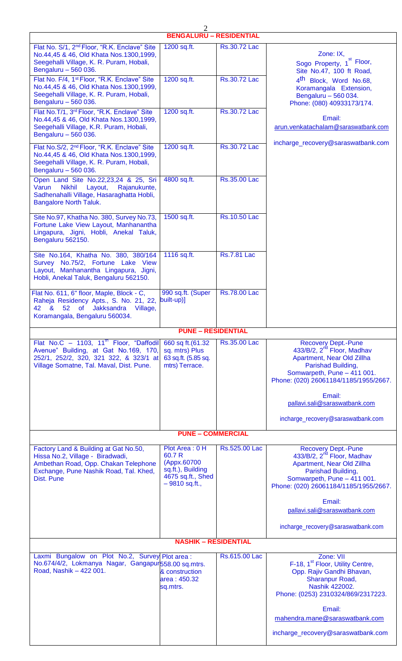| $\overline{2}$<br><b>BENGALURU - RESIDENTIAL</b>                                                                                                                                     |                                                                                                      |                     |                                                                                                                                                                                                                                                                                   |  |  |  |
|--------------------------------------------------------------------------------------------------------------------------------------------------------------------------------------|------------------------------------------------------------------------------------------------------|---------------------|-----------------------------------------------------------------------------------------------------------------------------------------------------------------------------------------------------------------------------------------------------------------------------------|--|--|--|
|                                                                                                                                                                                      |                                                                                                      | Rs.30.72 Lac        |                                                                                                                                                                                                                                                                                   |  |  |  |
| Flat No. S/1, 2 <sup>nd</sup> Floor, "R.K. Enclave" Site<br>No.44,45 & 46, Old Khata Nos.1300,1999,<br>Seegehalli Village, K. R. Puram, Hobali,<br>Bengaluru - 560 036.              | 1200 sq.ft.                                                                                          |                     | Zone: IX,<br>Sogo Property, 1 <sup>st</sup> Floor,<br>Site No.47, 100 ft Road,                                                                                                                                                                                                    |  |  |  |
| Flat No. F/4, 1 <sup>st</sup> Floor, "R.K. Enclave" Site<br>No.44,45 & 46, Old Khata Nos.1300,1999,<br>Seegehalli Village, K. R. Puram, Hobali,<br>Bengaluru - 560 036.              | 1200 sq.ft.                                                                                          | Rs.30.72 Lac        | 4 <sup>th</sup> Block, Word No.68,<br>Koramangala Extension,<br>Bengaluru - 560 034.<br>Phone: (080) 40933173/174.                                                                                                                                                                |  |  |  |
| Flat No.T/1, 3rd Floor, "R.K. Enclave" Site<br>No.44,45 & 46, Old Khata Nos.1300,1999,<br>Seegehalli Village, K.R. Puram, Hobali,<br>Bengaluru - 560 036.                            | 1200 sq.ft.                                                                                          | Rs.30.72 Lac        | Email:<br>arun.venkatachalam@saraswatbank.com                                                                                                                                                                                                                                     |  |  |  |
| Flat No.S/2, 2 <sup>nd</sup> Floor, "R.K. Enclave" Site<br>No.44,45 & 46, Old Khata Nos.1300,1999,<br>Seegehalli Village, K. R. Puram, Hobali,<br>Bengaluru - 560 036.               | 1200 sq.ft.                                                                                          | Rs.30.72 Lac        | incharge_recovery@saraswatbank.com                                                                                                                                                                                                                                                |  |  |  |
| Open Land Site No.22,23,24 & 25, Sri<br><b>Nikhil</b><br>Varun<br>Layout,<br>Rajanukunte,<br>Sadhenahalli Village, Hasaraghatta Hobli,<br><b>Bangalore North Taluk.</b>              | 4800 sq.ft.                                                                                          | Rs.35.00 Lac        |                                                                                                                                                                                                                                                                                   |  |  |  |
| Site No.97, Khatha No. 380, Survey No.73,<br>Fortune Lake View Layout, Manhanantha<br>Lingapura, Jigni, Hobli, Anekal Taluk,<br>Bengaluru 562150.                                    | 1500 sq.ft.                                                                                          | Rs.10.50 Lac        |                                                                                                                                                                                                                                                                                   |  |  |  |
| Site No.164, Khatha No. 380, 380/164<br>Survey No.75/2, Fortune Lake View<br>Layout, Manhanantha Lingapura, Jigni,<br>Hobli, Anekal Taluk, Bengaluru 562150.                         | 1116 sq.ft.                                                                                          | <b>Rs.7.81 Lac</b>  |                                                                                                                                                                                                                                                                                   |  |  |  |
| Flat No. 611, 6" floor, Maple, Block - C,<br>Raheja Residency Apts., S. No. 21, 22,<br>42<br><b>of</b><br><b>Jakksandra</b><br>&<br>52<br>Village,<br>Koramangala, Bengaluru 560034. | 990 sq.ft. (Super<br>built-up)]                                                                      | <b>Rs.78.00 Lac</b> |                                                                                                                                                                                                                                                                                   |  |  |  |
|                                                                                                                                                                                      | <b>PUNE - RESIDENTIAL</b>                                                                            |                     |                                                                                                                                                                                                                                                                                   |  |  |  |
| Flat No.C - 1103, $11^{\text{th}}$ Floor, "Daffodil<br>Avenue" Building, at Gat No.169, 170,<br>252/1, 252/2, 320, 321 322, & 323/1 at<br>Village Somatne, Tal. Maval, Dist. Pune.   | 660 sq ft.(61.32<br>sq. mtrs) Plus<br>63 sq.ft. (5.85 sq.<br>mtrs) Terrace.                          | Rs.35.00 Lac        | <b>Recovery Dept.-Pune</b><br>433/B/2, 2 <sup>nd</sup> Floor, Madhav<br>Apartment, Near Old Zillha<br>Parishad Building,<br>Somwarpeth, Pune - 411 001.<br>Phone: (020) 26061184/1185/1955/2667.<br>Email:<br>pallavi.sali@saraswatbank.com<br>incharge_recovery@saraswatbank.com |  |  |  |
|                                                                                                                                                                                      |                                                                                                      |                     |                                                                                                                                                                                                                                                                                   |  |  |  |
|                                                                                                                                                                                      | <b>PUNE - COMMERCIAL</b>                                                                             |                     |                                                                                                                                                                                                                                                                                   |  |  |  |
| Factory Land & Building at Gat No.50,<br>Hissa No.2, Village - Biradwadi,<br>Ambethan Road, Opp. Chakan Telephone<br>Exchange, Pune Nashik Road, Tal. Khed,<br>Dist. Pune            | Plot Area: 0 H<br>60.7 R<br>(Appx.60700<br>sq.ft.), Building<br>4675 sq.ft., Shed<br>$-9810$ sq.ft., | Rs.525.00 Lac       | <b>Recovery Dept.-Pune</b><br>433/B/2, 2 <sup>nd</sup> Floor, Madhav<br>Apartment, Near Old Zillha<br>Parishad Building,<br>Somwarpeth, Pune - 411 001.<br>Phone: (020) 26061184/1185/1955/2667.<br>Email:<br>pallavi.sali@saraswatbank.com<br>incharge_recovery@saraswatbank.com |  |  |  |
|                                                                                                                                                                                      | <b>NASHIK - RESIDENTIAL</b>                                                                          |                     |                                                                                                                                                                                                                                                                                   |  |  |  |
| Zone: VII<br>Laxmi Bungalow on Plot No.2, Survey Plot area :<br>Rs.615.00 Lac                                                                                                        |                                                                                                      |                     |                                                                                                                                                                                                                                                                                   |  |  |  |
| No.674/4/2, Lokmanya Nagar, Gangapur558.00 sq.mtrs.<br>Road, Nashik - 422 001.                                                                                                       | & construction<br>area: 450.32<br>sq.mtrs.                                                           |                     | F-18, 1 <sup>st</sup> Floor, Utility Centre,<br>Opp. Rajiv Gandhi Bhavan,<br>Sharanpur Road,<br>Nashik 422002.<br>Phone: (0253) 2310324/869/2317223.<br>Email:<br>mahendra.mane@saraswatbank.com<br>incharge_recovery@saraswatbank.com                                            |  |  |  |
|                                                                                                                                                                                      |                                                                                                      |                     |                                                                                                                                                                                                                                                                                   |  |  |  |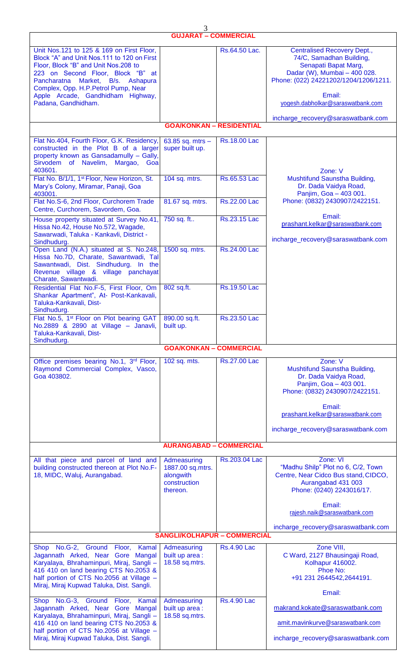|                                                                                                                                                                                                                                                                                                                   | 3<br><b>GUJARAT - COMMERCIAL</b>                                         |                     |                                                                                                                                                                                                                |  |  |  |
|-------------------------------------------------------------------------------------------------------------------------------------------------------------------------------------------------------------------------------------------------------------------------------------------------------------------|--------------------------------------------------------------------------|---------------------|----------------------------------------------------------------------------------------------------------------------------------------------------------------------------------------------------------------|--|--|--|
|                                                                                                                                                                                                                                                                                                                   |                                                                          |                     |                                                                                                                                                                                                                |  |  |  |
| Unit Nos.121 to 125 & 169 on First Floor,<br>Block "A" and Unit Nos. 111 to 120 on First<br>Floor, Block "B" and Unit Nos.208 to<br>223 on Second Floor, Block "B" at<br>Market, B/s. Ashapura<br>Pancharatna<br>Complex, Opp. H.P. Petrol Pump, Near<br>Apple Arcade, Gandhidham Highway,<br>Padana, Gandhidham. |                                                                          | Rs.64.50 Lac.       | <b>Centralised Recovery Dept.,</b><br>74/C, Samadhan Building,<br>Senapati Bapat Marg,<br>Dadar (W), Mumbai - 400 028.<br>Phone: (022) 24221202/1204/1206/1211.<br>Email:<br>yogesh.dabholkar@saraswatbank.com |  |  |  |
|                                                                                                                                                                                                                                                                                                                   | <b>GOA/KONKAN - RESIDENTIAL</b>                                          |                     | incharge_recovery@saraswatbank.com                                                                                                                                                                             |  |  |  |
|                                                                                                                                                                                                                                                                                                                   |                                                                          |                     |                                                                                                                                                                                                                |  |  |  |
| Flat No.404, Fourth Floor, G.K. Residency,<br>constructed in the Plot B of a larger<br>property known as Gansadamully - Gally,<br>Sirvodem of Navelim, Margao, Goa<br>403601.                                                                                                                                     | 63.85 sq. mtrs $-$<br>super built up.                                    | <b>Rs.18.00 Lac</b> | Zone: V                                                                                                                                                                                                        |  |  |  |
| Flat No. B/1/1, 1 <sup>st</sup> Floor, New Horizon, St.<br>Mary's Colony, Miramar, Panaji, Goa<br>403001.                                                                                                                                                                                                         | 104 sq. mtrs.                                                            | Rs.65.53 Lac        | Mushtifund Saunstha Building,<br>Dr. Dada Vaidya Road,<br>Panjim, Goa - 403 001.                                                                                                                               |  |  |  |
| Flat No.S-6, 2nd Floor, Curchorem Trade<br>Centre, Curchorem, Savordem, Goa.                                                                                                                                                                                                                                      | 81.67 sq. mtrs.                                                          | Rs.22.00 Lac        | Phone: (0832) 2430907/2422151.                                                                                                                                                                                 |  |  |  |
| House property situated at Survey No.41,<br>Hissa No.42, House No.572, Wagade,<br>Sawarwadi, Taluka - Kankavli, District -<br>Sindhudurg.                                                                                                                                                                         | 750 sq. ft                                                               | Rs.23.15 Lac        | Email:<br>prashant.kelkar@saraswatbank.com<br>incharge_recovery@saraswatbank.com                                                                                                                               |  |  |  |
| Open Land (N.A.) situated at S. No.248,<br>Hissa No.7D, Charate, Sawantwadi, Tal<br>Sawantwadi, Dist. Sindhudurg. In the<br>Revenue village & village panchayat<br>Charate, Sawantwadi.                                                                                                                           | 1500 sq. mtrs.                                                           | Rs.24.00 Lac        |                                                                                                                                                                                                                |  |  |  |
| Residential Flat No.F-5, First Floor, Om<br>Shankar Apartment", At- Post-Kankavali,<br>Taluka-Kankavali, Dist-<br>Sindhudurg.                                                                                                                                                                                     | 802 sq.ft.                                                               | Rs.19.50 Lac        |                                                                                                                                                                                                                |  |  |  |
| Flat No.5, 1 <sup>st</sup> Floor on Plot bearing GAT   890.00 sq.ft.<br>No.2889 & 2890 at Village - Janavli,<br>Taluka-Kankavali, Dist-<br>Sindhudurg.                                                                                                                                                            | built up.                                                                | Rs.23.50 Lac        |                                                                                                                                                                                                                |  |  |  |
|                                                                                                                                                                                                                                                                                                                   | <b>GOA/KONKAN - COMMERCIAL</b>                                           |                     |                                                                                                                                                                                                                |  |  |  |
| Office premises bearing No.1, 3rd Floor,<br>Raymond Commercial Complex, Vasco,<br>Goa 403802.                                                                                                                                                                                                                     | 102 sq. mts.                                                             | Rs.27.00 Lac        | Zone: V<br>Mushtifund Saunstha Building,<br>Dr. Dada Vaidya Road,<br>Panjim, Goa - 403 001.<br>Phone: (0832) 2430907/2422151.<br>Email:<br>prashant.kelkar@saraswatbank.com                                    |  |  |  |
|                                                                                                                                                                                                                                                                                                                   |                                                                          |                     | incharge_recovery@saraswatbank.com                                                                                                                                                                             |  |  |  |
|                                                                                                                                                                                                                                                                                                                   | <b>AURANGABAD - COMMERCIAL</b>                                           |                     |                                                                                                                                                                                                                |  |  |  |
| All that piece and parcel of land and<br>building constructed thereon at Plot No.F-<br>18, MIDC, Waluj, Aurangabad.                                                                                                                                                                                               | Admeasuring<br>1887.00 sq.mtrs.<br>alongwith<br>construction<br>thereon. | Rs.203.04 Lac       | Zone: VI<br>"Madhu Shilp" Plot no 6, C/2, Town<br>Centre, Near Cidco Bus stand, CIDCO,<br>Aurangabad 431 003<br>Phone: (0240) 2243016/17.                                                                      |  |  |  |
|                                                                                                                                                                                                                                                                                                                   |                                                                          |                     | Email:<br>rajesh.naik@saraswatbank.com                                                                                                                                                                         |  |  |  |
|                                                                                                                                                                                                                                                                                                                   |                                                                          |                     | incharge_recovery@saraswatbank.com                                                                                                                                                                             |  |  |  |
| <b>SANGLI/KOLHAPUR - COMMERCIAL</b>                                                                                                                                                                                                                                                                               |                                                                          |                     |                                                                                                                                                                                                                |  |  |  |
| Shop No.G-2, Ground Floor, Kamal<br>Jagannath Arked, Near Gore Mangal<br>Karyalaya, Bhrahaminpuri, Miraj, Sangli -<br>416 410 on land bearing CTS No.2053 &<br>half portion of CTS No.2056 at Village -<br>Miraj, Miraj Kupwad Taluka, Dist. Sangli.                                                              | Admeasuring<br>built up area:<br>18.58 sq.mtrs.                          | <b>Rs.4.90 Lac</b>  | Zone VIII,<br>C Ward, 2127 Bhausingaji Road,<br>Kolhapur 416002.<br>Phoe No:<br>+91 231 2644542,2644191.                                                                                                       |  |  |  |
| Shop No.G-3, Ground Floor, Kamal<br>Jagannath Arked, Near Gore Mangal<br>Karyalaya, Bhrahaminpuri, Miraj, Sangli -<br>416 410 on land bearing CTS No.2053 &<br>half portion of CTS No.2056 at Village -<br>Miraj, Miraj Kupwad Taluka, Dist. Sangli.                                                              | Admeasuring<br>built up area:<br>$18.58$ sq.mtrs.                        | <b>Rs.4.90 Lac</b>  | Email:<br>makrand.kokate@saraswatbank.com<br>amit.mavinkurve@saraswatbank.com<br>incharge recovery@saraswatbank.com                                                                                            |  |  |  |